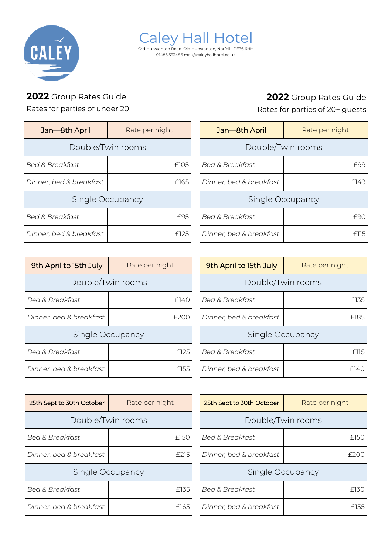

Caley Hall Hotel Old Hunstanton Road, Old Hunstanton, Norfolk, PE36 6HH 01485 533486 mail@caleyhallhotel.co.uk

## **2022** Group Rates Guide

Rates for parties of under 20

| Jan-8th April              | Rate per night |
|----------------------------|----------------|
| Double/Twin rooms          |                |
| <b>Bed &amp; Breakfast</b> | £105           |
| Dinner, bed & breakfast    | £165           |
| Single Occupancy           |                |
| <b>Bed &amp; Breakfast</b> | f9.            |
| Dinner, bed & breakfast    |                |

## **2022** Group Rates Guide

Rates for parties of 20+ guests

| Jan-8th April              | Rate per night |  |
|----------------------------|----------------|--|
| Double/Twin rooms          |                |  |
| <b>Bed &amp; Breakfast</b> |                |  |
| Dinner, bed & breakfast    | F149           |  |
| Single Occupancy           |                |  |
| <b>Bed &amp; Breakfast</b> |                |  |
| Dinner, bed & breakfast    |                |  |

| 9th April to 15th July     | Rate per night    | 9th April to 15th July     | Rate per night    |
|----------------------------|-------------------|----------------------------|-------------------|
|                            | Double/Twin rooms |                            | Double/Twin rooms |
| <b>Bed &amp; Breakfast</b> | £140              | <b>Bed &amp; Breakfast</b> | £135              |
| Dinner, bed & breakfast    | £200              | Dinner, bed & breakfast    | £185              |
|                            | Single Occupancy  |                            | Single Occupancy  |
| <b>Bed &amp; Breakfast</b> | £125              | <b>Bed &amp; Breakfast</b> | f115              |
| Dinner, bed & breakfast    | £155              | Dinner, bed & breakfast    | f140              |

| Single Occupancy           |                |  |
|----------------------------|----------------|--|
| <b>Bed &amp; Breakfast</b> | £115           |  |
| Dinner, bed & breakfast    | f 140          |  |
|                            |                |  |
| 25th Sept to 30th October  | Rate per night |  |
| Double/Twin rooms          |                |  |
| <b>Bed &amp; Breakfast</b> |                |  |
|                            |                |  |

| 25th Sept to 30th October | Rate per night |  |
|---------------------------|----------------|--|
| Double/Twin rooms         |                |  |
| Bed & Breakfast           | £150           |  |
| Dinner, bed & breakfast   | £215           |  |
| Single Occupancy          |                |  |
| Bed & Breakfast           | £135           |  |
| Dinner, bed & breakfast   | £165           |  |

| <b>Bed &amp; Breakfast</b> | £150 |
|----------------------------|------|
| Dinner, bed & breakfast    |      |
| Single Occupancy           |      |
| <b>Bed &amp; Breakfast</b> | f130 |
| Dinner, bed & breakfast    | F155 |